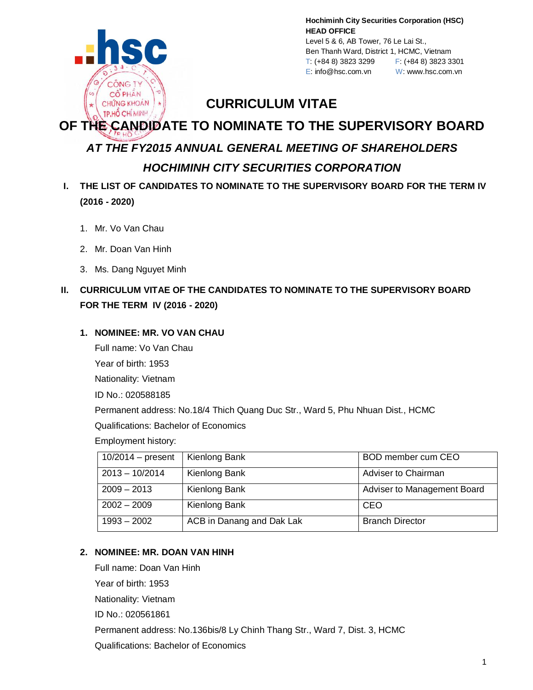

**Hochiminh City Securities Corporation (HSC) HEAD OFFICE** Level 5 & 6, AB Tower, 76 Le Lai St., Ben Thanh Ward, District 1, HCMC, Vietnam T: (+84 8) 3823 3299 F: (+84 8) 3823 3301 E: info@hsc.com.vn W: www.hsc.com.vn

## **CURRICULUM VITAE**

# **OF THE CANDIDATE TO NOMINATE TO THE SUPERVISORY BOARD** *AT THE FY2015 ANNUAL GENERAL MEETING OF SHAREHOLDERS*

## *HOCHIMINH CITY SECURITIES CORPORATION*

- **I. THE LIST OF CANDIDATES TO NOMINATE TO THE SUPERVISORY BOARD FOR THE TERM IV (2016 - 2020)**
	- 1. Mr. Vo Van Chau
	- 2. Mr. Doan Van Hinh
	- 3. Ms. Dang Nguyet Minh

## **II. CURRICULUM VITAE OF THE CANDIDATES TO NOMINATE TO THE SUPERVISORY BOARD FOR THE TERM IV (2016 - 2020)**

#### **1. NOMINEE: MR. VO VAN CHAU**

Full name: Vo Van Chau Year of birth: 1953

Nationality: Vietnam

ID No.: 020588185

Permanent address: No.18/4 Thich Quang Duc Str., Ward 5, Phu Nhuan Dist., HCMC

Qualifications: Bachelor of Economics

Employment history:

| $10/2014$ – present | Kienlong Bank             | BOD member cum CEO          |
|---------------------|---------------------------|-----------------------------|
| $2013 - 10/2014$    | Kienlong Bank             | <b>Adviser to Chairman</b>  |
| $2009 - 2013$       | Kienlong Bank             | Adviser to Management Board |
| $2002 - 2009$       | Kienlong Bank             | CEO                         |
| $1993 - 2002$       | ACB in Danang and Dak Lak | <b>Branch Director</b>      |

#### **2. NOMINEE: MR. DOAN VAN HINH**

Full name: Doan Van Hinh Year of birth: 1953

Nationality: Vietnam

ID No.: 020561861

Permanent address: No.136bis/8 Ly Chinh Thang Str., Ward 7, Dist. 3, HCMC

Qualifications: Bachelor of Economics